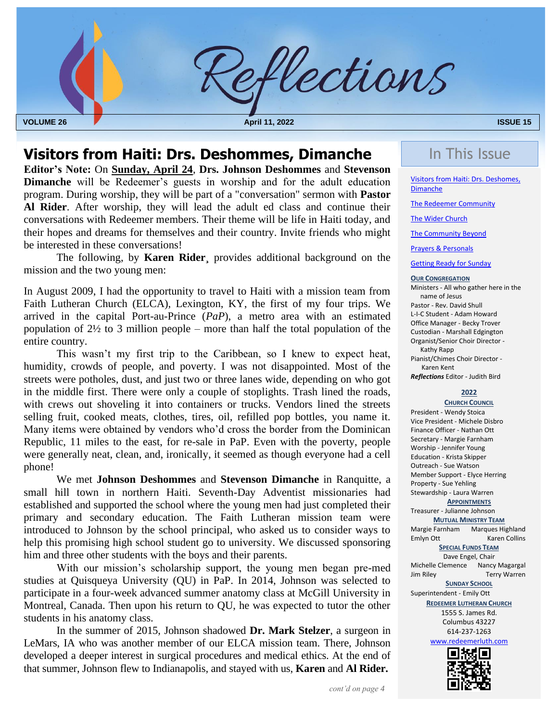

## **Visitors from Haiti: Drs. Deshommes, Dimanche** In This Issue

 **Editor's Note:** On **Sunday, April 24**, **Drs. Johnson Deshommes** and **Stevenson Dimanche** will be Redeemer's guests in worship and for the adult education program. During worship, they will be part of a "conversation" sermon with **Pastor Al Rider**. After worship, they will lead the adult ed class and continue their conversations with Redeemer members. Their theme will be life in Haiti today, and their hopes and dreams for themselves and their country. Invite friends who might be interested in these conversations!

The following, by **Karen Rider¸** provides additional background on the mission and the two young men:

In August 2009, I had the opportunity to travel to Haiti with a mission team from Faith Lutheran Church (ELCA), Lexington, KY, the first of my four trips. We arrived in the capital Port-au-Prince (*PaP*), a metro area with an estimated population of 2½ to 3 million people – more than half the total population of the entire country.

 Many items were obtained by vendors who'd cross the border from the Dominican This wasn't my first trip to the Caribbean, so I knew to expect heat, humidity, crowds of people, and poverty. I was not disappointed. Most of the streets were potholes, dust, and just two or three lanes wide, depending on who got in the middle first. There were only a couple of stoplights. Trash lined the roads, with crews out shoveling it into containers or trucks. Vendors lined the streets selling fruit, cooked meats, clothes, tires, oil, refilled pop bottles, you name it. Republic, 11 miles to the east, for re-sale in PaP. Even with the poverty, people were generally neat, clean, and, ironically, it seemed as though everyone had a cell phone!

We met **Johnson Deshommes** and **Stevenson Dimanche** in Ranquitte, a small hill town in northern Haiti. Seventh-Day Adventist missionaries had established and supported the school where the young men had just completed their primary and secondary education. The Faith Lutheran mission team were introduced to Johnson by the school principal, who asked us to consider ways to help this promising high school student go to university. We discussed sponsoring him and three other students with the boys and their parents.

With our mission's scholarship support, the young men began pre-med studies at Quisqueya University (QU) in PaP. In 2014, Johnson was selected to participate in a four-week advanced summer anatomy class at McGill University in Montreal, Canada. Then upon his return to QU, he was expected to tutor the other students in his anatomy class.

<span id="page-0-0"></span>In the summer of 2015, Johnson shadowed **Dr. Mark Stelzer**, a surgeon in LeMars, IA who was another member of our ELCA mission team. There, Johnson developed a deeper interest in surgical procedures and medical ethics. At the end of that summer, Johnson flew to Indianapolis, and stayed with us, **Karen** and **Al Rider.**

Visitors from Haiti: Drs. Deshomes, Dimanche

[The Redeemer Community](#page-1-0)

[The Wider Church](#page-4-0)

[The Community Beyond](#page-4-0)

[Prayers & Personals](#page-4-1)

[Getting Ready for Sunday](#page-0-0)

#### **OUR CONGREGATION**

Ministers - All who gather here in the name of Jesus Pastor - Rev. David Shull L-I-C Student - Adam Howard Office Manager - Becky Trover Custodian - Marshall Edgington Organist/Senior Choir Director - Kathy Rapp Pianist/Chimes Choir Director - Karen Kent

*Reflections* Editor - Judith Bird

#### **2022**

**CHURCH COUNCIL** President - Wendy Stoica Vice President - Michele Disbro Finance Officer - Nathan Ott Secretary - Margie Farnham Worship - Jennifer Young Education - Krista Skipper Outreach - Sue Watson Member Support - Elyce Herring Property - Sue Yehling Stewardship - Laura Warren

**APPOINTMENTS**

Treasurer - Julianne Johnson **MUTUAL MINISTRY TEAM** Margie Farnham Marques Highland

Emlyn Ott Karen Collins

#### **SPECIAL FUNDS TEAM** Dave Engel, Chair Michelle Clemence Nancy Magargal<br>Jim Rilev Terry Warren

Terry Warren

**SUNDAY SCHOOL** Superintendent - Emily Ott **REDEEMER LUTHERAN CHURCH** 1555 S. James Rd. Columbus 43227 614-237-1263 [www.redeemerluth.com](http://www.redeemerluth.com/)

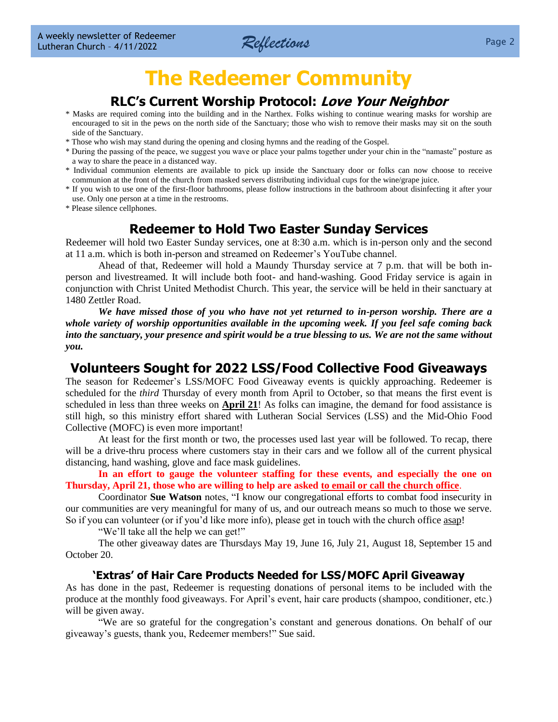

## **The Redeemer Community**

### **RLC's Current Worship Protocol: Love Your Neighbor**

- <span id="page-1-0"></span>\* Masks are required coming into the building and in the Narthex. Folks wishing to continue wearing masks for worship are encouraged to sit in the pews on the north side of the Sanctuary; those who wish to remove their masks may sit on the south side of the Sanctuary.
- \* Those who wish may stand during the opening and closing hymns and the reading of the Gospel.
- \* During the passing of the peace, we suggest you wave or place your palms together under your chin in the "namaste" posture as a way to share the peace in a distanced way.
- \* Individual communion elements are available to pick up inside the Sanctuary door or folks can now choose to receive communion at the front of the church from masked servers distributing individual cups for the wine/grape juice.
- \* If you wish to use one of the first-floor bathrooms, please follow instructions in the bathroom about disinfecting it after your use. Only one person at a time in the restrooms.
- \* Please silence cellphones.

#### **Redeemer to Hold Two Easter Sunday Services**

Redeemer will hold two Easter Sunday services, one at 8:30 a.m. which is in-person only and the second at 11 a.m. which is both in-person and streamed on Redeemer's YouTube channel.

Ahead of that, Redeemer will hold a Maundy Thursday service at 7 p.m. that will be both inperson and livestreamed. It will include both foot- and hand-washing. Good Friday service is again in conjunction with Christ United Methodist Church. This year, the service will be held in their sanctuary at 1480 Zettler Road.

*We have missed those of you who have not yet returned to in-person worship. There are a whole variety of worship opportunities available in the upcoming week. If you feel safe coming back into the sanctuary, your presence and spirit would be a true blessing to us. We are not the same without you.*

#### **Volunteers Sought for 2022 LSS/Food Collective Food Giveaways**

The season for Redeemer's LSS/MOFC Food Giveaway events is quickly approaching. Redeemer is scheduled for the *third* Thursday of every month from April to October, so that means the first event is scheduled in less than three weeks on **April 21**! As folks can imagine, the demand for food assistance is still high, so this ministry effort shared with Lutheran Social Services (LSS) and the Mid-Ohio Food Collective (MOFC) is even more important!

At least for the first month or two, the processes used last year will be followed. To recap, there will be a drive-thru process where customers stay in their cars and we follow all of the current physical distancing, hand washing, glove and face mask guidelines.

**In an effort to gauge the volunteer staffing for these events, and especially the one on Thursday, April 21, those who are willing to help are asked to email or call the church office**.

Coordinator **Sue Watson** notes, "I know our congregational efforts to combat food insecurity in our communities are very meaningful for many of us, and our outreach means so much to those we serve. So if you can volunteer (or if you'd like more info), please get in touch with the church office asap!

"We'll take all the help we can get!"

The other giveaway dates are Thursdays May 19, June 16, July 21, August 18, September 15 and October 20.

#### **'Extras' of Hair Care Products Needed for LSS/MOFC April Giveaway**

As has done in the past, Redeemer is requesting donations of personal items to be included with the produce at the monthly food giveaways. For April's event, hair care products (shampoo, conditioner, etc.) will be given away.

"We are so grateful for the congregation's constant and generous donations. On behalf of our giveaway's guests, thank you, Redeemer members!" Sue said.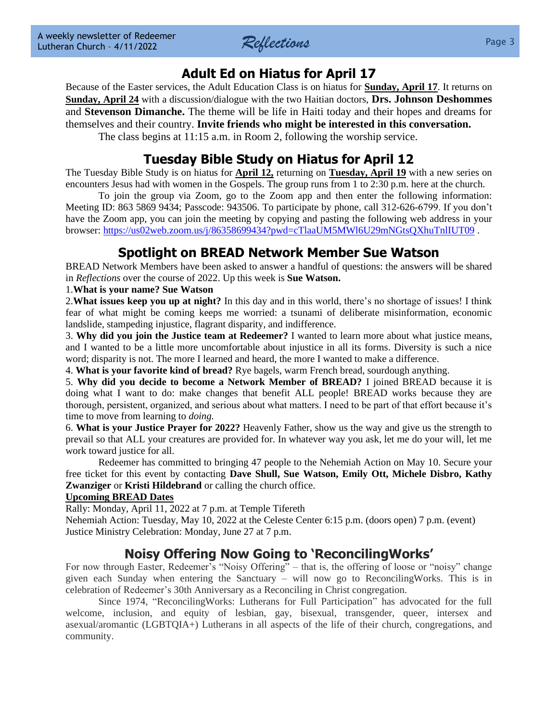

## **Adult Ed on Hiatus for April 17**

Because of the Easter services, the Adult Education Class is on hiatus for **Sunday, April 17**. It returns on **Sunday, April 24** with a discussion/dialogue with the two Haitian doctors, **Drs. Johnson Deshommes** and **Stevenson Dimanche.** The theme will be life in Haiti today and their hopes and dreams for themselves and their country. **Invite friends who might be interested in this conversation.** The class begins at 11:15 a.m. in Room 2, following the worship service.

## **Tuesday Bible Study on Hiatus for April 12**

The Tuesday Bible Study is on hiatus for **April 12,** returning on **Tuesday, April 19** with a new series on encounters Jesus had with women in the Gospels. The group runs from 1 to 2:30 p.m. here at the church.

To join the group via Zoom, go to the Zoom app and then enter the following information: Meeting ID: 863 5869 9434; Passcode: 943506. To participate by phone, call 312-626-6799. If you don't have the Zoom app, you can join the meeting by copying and pasting the following web address in your browser:<https://us02web.zoom.us/j/86358699434?pwd=cTlaaUM5MWl6U29mNGtsQXhuTnlIUT09> .

## **Spotlight on BREAD Network Member Sue Watson**

BREAD Network Members have been asked to answer a handful of questions: the answers will be shared in *Reflections* over the course of 2022. Up this week is **Sue Watson.**

#### 1.**What is your name? Sue Watson**

2.**What issues keep you up at night?** In this day and in this world, there's no shortage of issues! I think fear of what might be coming keeps me worried: a tsunami of deliberate misinformation, economic landslide, stampeding injustice, flagrant disparity, and indifference.

3. **Why did you join the Justice team at Redeemer?** I wanted to learn more about what justice means, and I wanted to be a little more uncomfortable about injustice in all its forms. Diversity is such a nice word; disparity is not. The more I learned and heard, the more I wanted to make a difference.

4. **What is your favorite kind of bread?** Rye bagels, warm French bread, sourdough anything.

5. **Why did you decide to become a Network Member of BREAD?** I joined BREAD because it is doing what I want to do: make changes that benefit ALL people! BREAD works because they are thorough, persistent, organized, and serious about what matters. I need to be part of that effort because it's time to move from learning to *doing.*

6. **What is your Justice Prayer for 2022?** Heavenly Father, show us the way and give us the strength to prevail so that ALL your creatures are provided for. In whatever way you ask, let me do your will, let me work toward justice for all.

Redeemer has committed to bringing 47 people to the Nehemiah Action on May 10. Secure your free ticket for this event by contacting **Dave Shull, Sue Watson, Emily Ott, Michele Disbro, Kathy Zwanziger** or **Kristi Hildebrand** or calling the church office.

#### **Upcoming BREAD Dates**

Rally: Monday, April 11, 2022 at 7 p.m. at Temple Tifereth

Nehemiah Action: Tuesday, May 10, 2022 at the Celeste Center 6:15 p.m. (doors open) 7 p.m. (event) Justice Ministry Celebration: Monday, June 27 at 7 p.m.

## **Noisy Offering Now Going to 'ReconcilingWorks'**

For now through Easter, Redeemer's "Noisy Offering" – that is, the offering of loose or "noisy" change given each Sunday when entering the Sanctuary – will now go to ReconcilingWorks. This is in celebration of Redeemer's 30th Anniversary as a Reconciling in Christ congregation.

Since 1974, "ReconcilingWorks: Lutherans for Full Participation" has advocated for the full welcome, inclusion, and equity of lesbian, gay, bisexual, transgender, queer, intersex and asexual/aromantic (LGBTQIA+) Lutherans in all aspects of the life of their church, congregations, and community.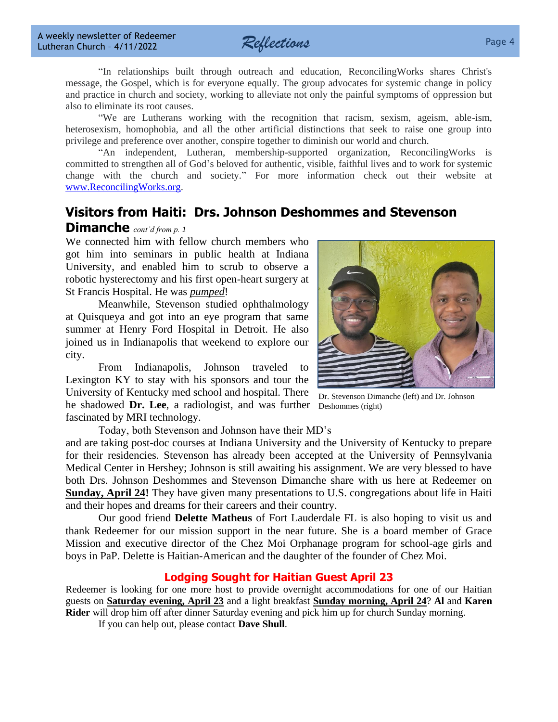

"In relationships built through outreach and education, ReconcilingWorks shares Christ's message, the Gospel, which is for everyone equally. The group advocates for systemic change in policy and practice in church and society, working to alleviate not only the painful symptoms of oppression but also to eliminate its root causes.

"We are Lutherans working with the recognition that racism, sexism, ageism, able-ism, heterosexism, homophobia, and all the other artificial distinctions that seek to raise one group into privilege and preference over another, conspire together to diminish our world and church.

"An independent, Lutheran, membership-supported organization, ReconcilingWorks is committed to strengthen all of God's beloved for authentic, visible, faithful lives and to work for systemic change with the church and society." For more information check out their website at [www.ReconcilingWorks.org.](http://www.reconcilingworks.org/)

## **Visitors from Haiti: Drs. Johnson Deshommes and Stevenson**

#### **Dimanche** *cont'd from p. 1*

We connected him with fellow church members who got him into seminars in public health at Indiana University, and enabled him to scrub to observe a robotic hysterectomy and his first open-heart surgery at St Francis Hospital. He was *pumped*!

Meanwhile, Stevenson studied ophthalmology at Quisqueya and got into an eye program that same summer at Henry Ford Hospital in Detroit. He also joined us in Indianapolis that weekend to explore our city.

From Indianapolis, Johnson traveled to Lexington KY to stay with his sponsors and tour the University of Kentucky med school and hospital. There he shadowed **Dr. Lee**, a radiologist, and was further Deshommes (right)fascinated by MRI technology.

Today, both Stevenson and Johnson have their MD's

and are taking post-doc courses at Indiana University and the University of Kentucky to prepare for their residencies. Stevenson has already been accepted at the University of Pennsylvania Medical Center in Hershey; Johnson is still awaiting his assignment. We are very blessed to have both Drs. Johnson Deshommes and Stevenson Dimanche share with us here at Redeemer on **Sunday, April 24!** They have given many presentations to U.S. congregations about life in Haiti and their hopes and dreams for their careers and their country.

Our good friend **Delette Matheus** of Fort Lauderdale FL is also hoping to visit us and thank Redeemer for our mission support in the near future. She is a board member of Grace Mission and executive director of the Chez Moi Orphanage program for school-age girls and boys in PaP. Delette is Haitian-American and the daughter of the founder of Chez Moi.

#### **Lodging Sought for Haitian Guest April 23**

Redeemer is looking for one more host to provide overnight accommodations for one of our Haitian guests on **Saturday evening, April 23** and a light breakfast **Sunday morning, April 24**? **Al** and **Karen Rider** will drop him off after dinner Saturday evening and pick him up for church Sunday morning.

If you can help out, please contact **Dave Shull**.

Dr. Stevenson Dimanche (left) and Dr. Johnson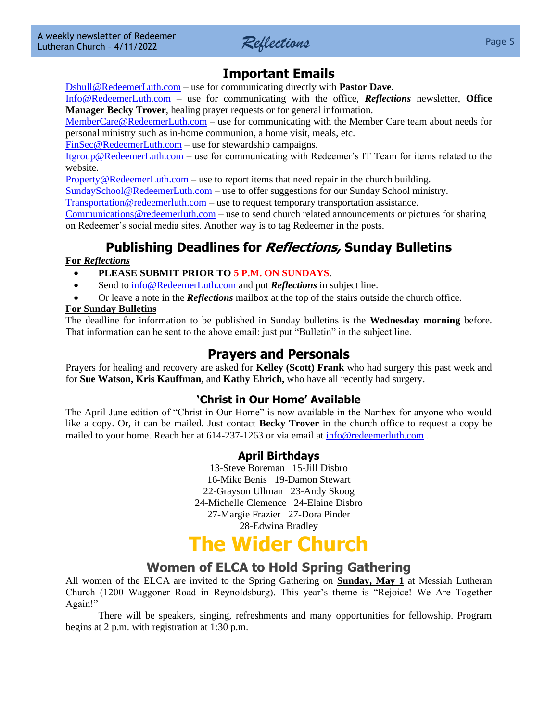

## **Important Emails**

[Dshull@RedeemerLuth.com](mailto:DShull@RedeemerLuth.com) – use for communicating directly with **Pastor Dave.**

[Info@RedeemerLuth.com](mailto:Info@RedeemerLuth.com) – use for communicating with the office, *Reflections* newsletter, **Office Manager Becky Trover**, healing prayer requests or for general information.

[MemberCare@RedeemerLuth.com](mailto:MemberCare@RedeemerLuth.com) – use for communicating with the Member Care team about needs for personal ministry such as in-home communion, a home visit, meals, etc.

[FinSec@RedeemerLuth.com](mailto:FinSec@RedeemerLuth.com) – use for stewardship campaigns.

[Itgroup@RedeemerLuth.com](mailto:ITgroup@RedeemerLuth.com) – use for communicating with Redeemer's IT Team for items related to the website.

[Property@RedeemerLuth.com](mailto:Property@RedeemerLuth.com) – use to report items that need repair in the church building.

[SundaySchool@RedeemerLuth.com](mailto:SundaySchool@RedeemerLuth.com) – use to offer suggestions for our Sunday School ministry.

[Transportation@redeemerluth.com](mailto:Transportation@redeemerluth.com) – use to request temporary transportation assistance.

[Communications@redeemerluth.com](mailto:Communications@redeemerluth.com) – use to send church related announcements or pictures for sharing on Redeemer's social media sites. Another way is to tag Redeemer in the posts.

## **Publishing Deadlines for Reflections, Sunday Bulletins**

#### **For** *Reflections*

- **PLEASE SUBMIT PRIOR TO 5 P.M. ON SUNDAYS**.
- Send to  $info@RedeemerLuth.com$  and put *Reflections* in subject line.
- Or leave a note in the *Reflections* mailbox at the top of the stairs outside the church office.

#### **For Sunday Bulletins**

The deadline for information to be published in Sunday bulletins is the **Wednesday morning** before. That information can be sent to the above email: just put "Bulletin" in the subject line.

## <span id="page-4-1"></span>**Prayers and Personals**

Prayers for healing and recovery are asked for **Kelley (Scott) Frank** who had surgery this past week and for **Sue Watson, Kris Kauffman,** and **Kathy Ehrich,** who have all recently had surgery.

#### **'Christ in Our Home' Available**

The April-June edition of "Christ in Our Home" is now available in the Narthex for anyone who would like a copy. Or, it can be mailed. Just contact **Becky Trover** in the church office to request a copy be mailed to your home. Reach her at 614-237-1263 or via email at [info@redeemerluth.com](mailto:info@redeemerluth.com) .

#### **April Birthdays**

13-Steve Boreman 15-Jill Disbro 16-Mike Benis 19-Damon Stewart 22-Grayson Ullman 23-Andy Skoog 24-Michelle Clemence 24-Elaine Disbro 27-Margie Frazier 27-Dora Pinder 28-Edwina Bradley

# **The Wider Church**

### **Women of ELCA to Hold Spring Gathering**

<span id="page-4-0"></span>All women of the ELCA are invited to the Spring Gathering on **Sunday, May 1** at Messiah Lutheran Church (1200 Waggoner Road in Reynoldsburg). This year's theme is "Rejoice! We Are Together Again!"

There will be speakers, singing, refreshments and many opportunities for fellowship. Program begins at 2 p.m. with registration at 1:30 p.m.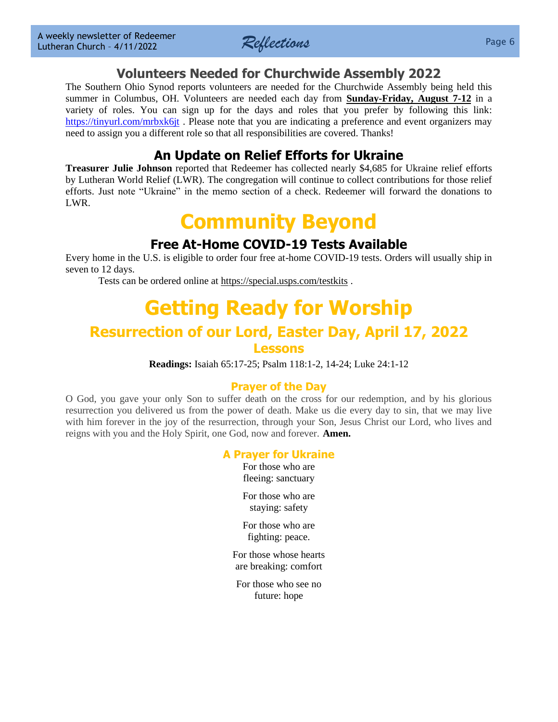

## **Volunteers Needed for Churchwide Assembly 2022**

The Southern Ohio Synod reports volunteers are needed for the Churchwide Assembly being held this summer in Columbus, OH. Volunteers are needed each day from **Sunday-Friday, August 7-12** in a variety of roles. You can sign up for the days and roles that you prefer by following this link: <https://tinyurl.com/mrbxk6jt>. Please note that you are indicating a preference and event organizers may need to assign you a different role so that all responsibilities are covered. Thanks!

## **An Update on Relief Efforts for Ukraine**

**Treasurer Julie Johnson** reported that Redeemer has collected nearly \$4,685 for Ukraine relief efforts by Lutheran World Relief (LWR). The congregation will continue to collect contributions for those relief efforts. Just note "Ukraine" in the memo section of a check. Redeemer will forward the donations to LWR.

## **Community Beyond**

## **Free At-Home COVID-19 Tests Available**

Every home in the U.S. is eligible to order four free at-home COVID-19 tests. Orders will usually ship in seven to 12 days.

Tests can be ordered online at<https://special.usps.com/testkits> .

# **[Getting Ready for W](file:///D:/Users/Marcene%20Mounts/Documents/2019%20REFLECTIONS/Vol.%2023-49%2012-9-2019%20Draft.docx%23GettingReadyforSunday)orship Resurrection of our Lord, Easter Day, April 17, 2022**

#### **Lessons**

**Readings:** Isaiah 65:17-25; Psalm 118:1-2, 14-24; Luke 24:1-12

#### **Prayer of the Day**

O God, you gave your only Son to suffer death on the cross for our redemption, and by his glorious resurrection you delivered us from the power of death. Make us die every day to sin, that we may live with him forever in the joy of the resurrection, through your Son, Jesus Christ our Lord, who lives and reigns with you and the Holy Spirit, one God, now and forever. **Amen.**

#### **A Prayer for Ukraine**

For those who are fleeing: sanctuary

For those who are staying: safety

For those who are fighting: peace.

For those whose hearts are breaking: comfort

For those who see no future: hope